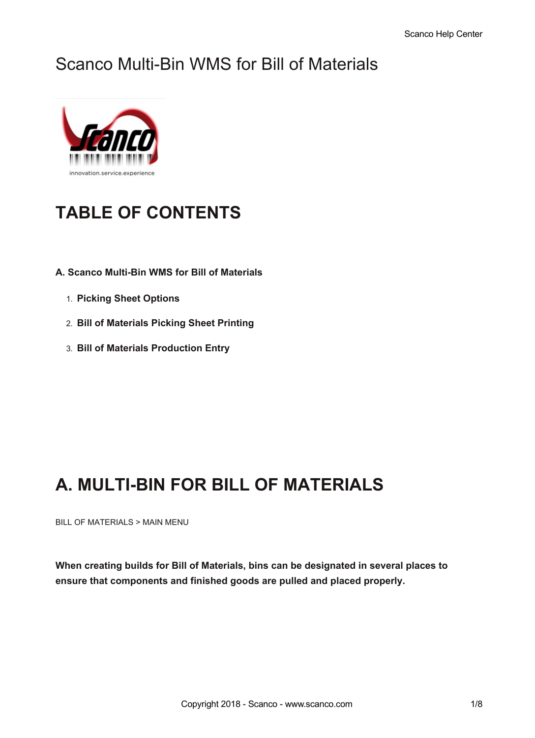## Scanco Multi-Bin WMS for Bill of Materials



# **TABLE OF CONTENTS**

- **A. Scanco Multi-Bin WMS for Bill of Materials**
	- 1. **Picking Sheet Options**
	- 2. **Bill of Materials Picking Sheet Printing**
	- 3. **Bill of Materials Production Entry**

## **A. MULTI-BIN FOR BILL OF MATERIALS**

BILL OF MATERIALS > MAIN MENU

**When creating builds for Bill of Materials, bins can be designated in several places to ensure that components and finished goods are pulled and placed properly.**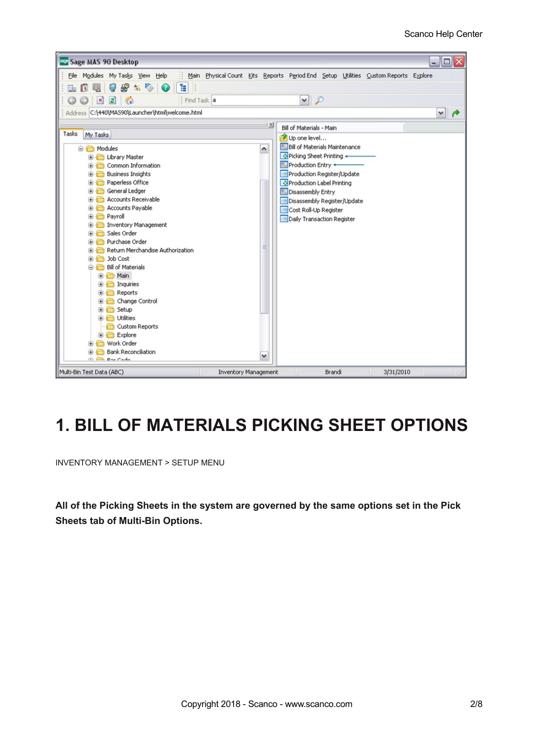

## **1. BILL OF MATERIALS PICKING SHEET OPTIONS**

INVENTORY MANAGEMENT > SETUP MENU

**All of the Picking Sheets in the system are governed by the same options set in the Pick Sheets tab of Multi-Bin Options.**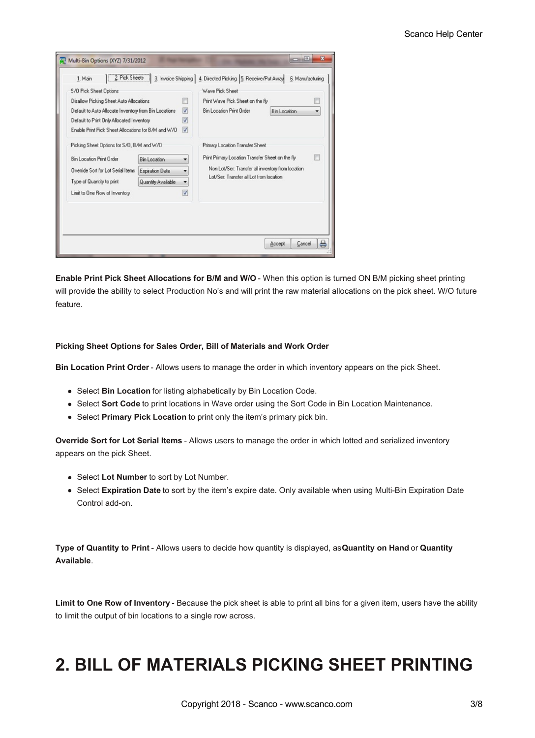| S/O Pick Sheet Options<br>Disallow Picking Sheet Auto Allocations                                                                                                                 |                                                              | m                                              | Wave Pick Sheet<br>Print Wave Pick Sheet on the fly                                                                                                                                 | e                        |
|-----------------------------------------------------------------------------------------------------------------------------------------------------------------------------------|--------------------------------------------------------------|------------------------------------------------|-------------------------------------------------------------------------------------------------------------------------------------------------------------------------------------|--------------------------|
| Default to Auto Allocate Inventory from Bin Locations<br>Default to Print Only Allocated Inventory<br>Enable Print Pick Sheet Allocations for B/M and W/D                         |                                                              | $\overline{v}$<br>$\overline{\mathsf{v}}$<br>V | <b>Bin Location Print Order</b>                                                                                                                                                     | <b>Bin Location</b><br>٠ |
| Picking Sheet Options for S/O, B/M and W/O<br><b>Bin Location Print Order</b><br>Override Sort for Lot Serial Items<br>Type of Quantity to print<br>Limit to One Row of Inventory | <b>Bin Location</b><br>Expiration Date<br>Quantity Available | ۰<br>V                                         | Primary Location Transfer Sheet<br>Print Primary Location Transfer Sheet on the fly<br>Non Lot/Ser: Transfer all inventory from location<br>Lot/Ser: Transfer all Lot from location | m                        |
|                                                                                                                                                                                   |                                                              |                                                |                                                                                                                                                                                     |                          |

**Enable Print Pick Sheet Allocations for B/M and W/O** - When this option is turned ON B/M picking sheet printing will provide the ability to select Production No's and will print the raw material allocations on the pick sheet. W/O future feature.

#### **Picking Sheet Options for Sales Order, Bill of Materials and Work Order**

**Bin Location Print Order** - Allows users to manage the order in which inventory appears on the pick Sheet.

- Select **Bin Location** for listing alphabetically by Bin Location Code.
- Select **Sort Code** to print locations in Wave order using the Sort Code in Bin Location Maintenance.
- Select **Primary Pick Location** to print only the item's primary pick bin.

**Override Sort for Lot Serial Items** - Allows users to manage the order in which lotted and serialized inventory appears on the pick Sheet.

- Select **Lot Number** to sort by Lot Number.
- Select **Expiration Date** to sort by the item's expire date. Only available when using Multi-Bin Expiration Date Control add-on.

**Type of Quantity to Print** - Allows users to decide how quantity is displayed, as**Quantity on Hand** or **Quantity Available**.

**Limit to One Row of Inventory** - Because the pick sheet is able to print all bins for a given item, users have the ability to limit the output of bin locations to a single row across.

## **2. BILL OF MATERIALS PICKING SHEET PRINTING**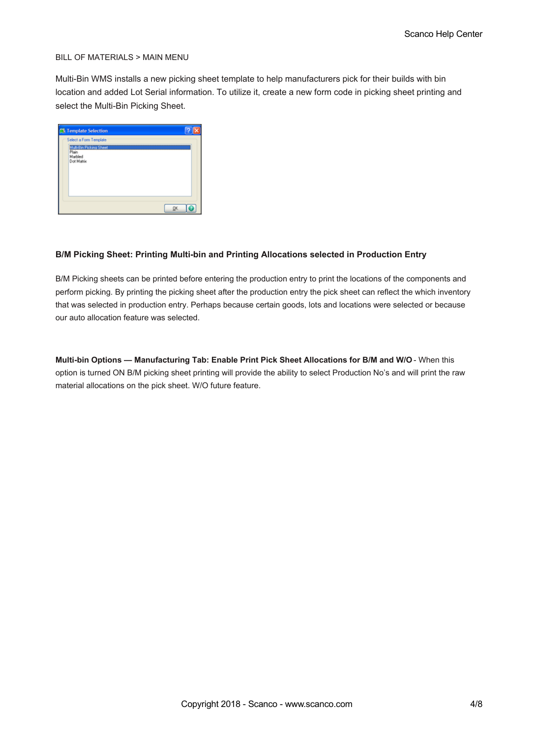#### BILL OF MATERIALS > MAIN MENU

Multi-Bin WMS installs a new picking sheet template to help manufacturers pick for their builds with bin location and added Lot Serial information. To utilize it, create a new form code in picking sheet printing and select the Multi-Bin Picking Sheet.

| <b>CS Template Selection</b>                              |           |  |
|-----------------------------------------------------------|-----------|--|
| Select a Form Template                                    |           |  |
| Multi-Bin Picking Sheet<br>Plain<br>Marbled<br>Dot Matrix |           |  |
|                                                           | <b>OK</b> |  |

#### **B/M Picking Sheet: Printing Multi-bin and Printing Allocations selected in Production Entry**

B/M Picking sheets can be printed before entering the production entry to print the locations of the components and perform picking. By printing the picking sheet after the production entry the pick sheet can reflect the which inventory that was selected in production entry. Perhaps because certain goods, lots and locations were selected or because our auto allocation feature was selected.

**Multi-bin Options — Manufacturing Tab: Enable Print Pick Sheet Allocations for B/M and W/O** - When this option is turned ON B/M picking sheet printing will provide the ability to select Production No's and will print the raw material allocations on the pick sheet. W/O future feature.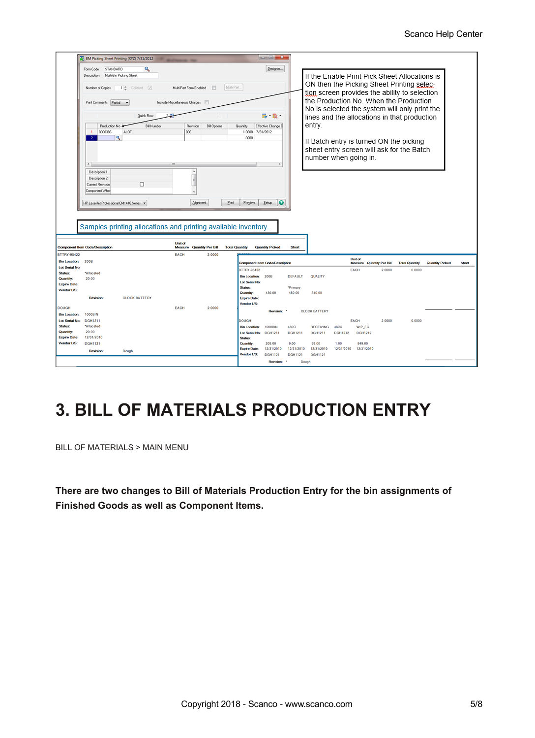|                       | BM Picking Sheet Printing (XYZ) 7/31/2012 |                                                                |             |                                 |                       |                                         | $\begin{array}{c c c c c} \hline \multicolumn{1}{c }{\textbf{.}} & \multicolumn{1}{c }{\textbf{.}} & \multicolumn{1}{c }{\textbf{.}} & \multicolumn{1}{c }{\textbf{.}} & \multicolumn{1}{c }{\textbf{.}} & \multicolumn{1}{c }{\textbf{.}} & \multicolumn{1}{c }{\textbf{.}} & \multicolumn{1}{c }{\textbf{.}} & \multicolumn{1}{c }{\textbf{.}} & \multicolumn{1}{c }{\textbf{.}} & \multicolumn{1}{c }{\textbf{.}} & \multicolumn{1}{c }{\textbf{.$ |                    |                      |                    |                                             |        |                                               |                 |       |
|-----------------------|-------------------------------------------|----------------------------------------------------------------|-------------|---------------------------------|-----------------------|-----------------------------------------|-------------------------------------------------------------------------------------------------------------------------------------------------------------------------------------------------------------------------------------------------------------------------------------------------------------------------------------------------------------------------------------------------------------------------------------------------------|--------------------|----------------------|--------------------|---------------------------------------------|--------|-----------------------------------------------|-----------------|-------|
|                       | STANDARD<br>Form Code                     | ۹                                                              |             |                                 |                       |                                         | Designer                                                                                                                                                                                                                                                                                                                                                                                                                                              |                    |                      |                    |                                             |        |                                               |                 |       |
|                       | Description                               | Multi-Bin Picking Sheet                                        |             |                                 |                       |                                         |                                                                                                                                                                                                                                                                                                                                                                                                                                                       |                    |                      |                    |                                             |        | If the Enable Print Pick Sheet Allocations is |                 |       |
|                       |                                           |                                                                |             |                                 |                       |                                         |                                                                                                                                                                                                                                                                                                                                                                                                                                                       |                    |                      |                    |                                             |        | ON then the Picking Sheet Printing selec-     |                 |       |
|                       | Number of Copies                          | Collated V<br>12                                               |             | Multi-Part Form Enabled         | Multi Part.           |                                         |                                                                                                                                                                                                                                                                                                                                                                                                                                                       |                    |                      |                    |                                             |        |                                               |                 |       |
|                       |                                           |                                                                |             |                                 |                       |                                         |                                                                                                                                                                                                                                                                                                                                                                                                                                                       |                    |                      |                    |                                             |        | tion screen provides the ability to selection |                 |       |
|                       | Print Comments Partial                    |                                                                |             | Include Miscellaneous Charges   |                       |                                         |                                                                                                                                                                                                                                                                                                                                                                                                                                                       |                    |                      |                    |                                             |        | the Production No. When the Production        |                 |       |
|                       |                                           |                                                                |             |                                 |                       |                                         |                                                                                                                                                                                                                                                                                                                                                                                                                                                       |                    |                      |                    |                                             |        | No is selected the system will only print the |                 |       |
|                       |                                           | Quick Row                                                      |             |                                 |                       |                                         | 最も最も                                                                                                                                                                                                                                                                                                                                                                                                                                                  |                    |                      |                    |                                             |        | lines and the allocations in that production  |                 |       |
|                       | Production No +                           | <b>Bill Number</b>                                             |             | Revision<br><b>Bill Options</b> | Quantity              |                                         | Effective Change D                                                                                                                                                                                                                                                                                                                                                                                                                                    |                    | entry.               |                    |                                             |        |                                               |                 |       |
|                       | 0000396<br>$\mathbf{1}$                   | <b>ALOT</b>                                                    |             | 000                             |                       | 1.0000 7/31/2012                        |                                                                                                                                                                                                                                                                                                                                                                                                                                                       |                    |                      |                    |                                             |        |                                               |                 |       |
|                       | ٩<br>$\mathbf{2}$                         |                                                                |             |                                 |                       | .0000                                   |                                                                                                                                                                                                                                                                                                                                                                                                                                                       |                    |                      |                    |                                             |        | If Batch entry is turned ON the picking       |                 |       |
|                       |                                           |                                                                |             |                                 |                       |                                         |                                                                                                                                                                                                                                                                                                                                                                                                                                                       |                    |                      |                    |                                             |        |                                               |                 |       |
|                       |                                           |                                                                |             |                                 |                       |                                         |                                                                                                                                                                                                                                                                                                                                                                                                                                                       |                    |                      |                    |                                             |        | sheet entry screen will ask for the Batch     |                 |       |
|                       |                                           |                                                                |             |                                 |                       |                                         |                                                                                                                                                                                                                                                                                                                                                                                                                                                       |                    |                      |                    | number when going in.                       |        |                                               |                 |       |
|                       | $\leftarrow$                              |                                                                |             |                                 |                       |                                         |                                                                                                                                                                                                                                                                                                                                                                                                                                                       |                    |                      |                    |                                             |        |                                               |                 |       |
|                       | Description 1                             |                                                                |             | ٠                               |                       |                                         |                                                                                                                                                                                                                                                                                                                                                                                                                                                       |                    |                      |                    |                                             |        |                                               |                 |       |
|                       | Description 2                             |                                                                |             |                                 |                       |                                         |                                                                                                                                                                                                                                                                                                                                                                                                                                                       |                    |                      |                    |                                             |        |                                               |                 |       |
|                       | Current Revision                          | □                                                              |             |                                 |                       |                                         |                                                                                                                                                                                                                                                                                                                                                                                                                                                       |                    |                      |                    |                                             |        |                                               |                 |       |
|                       | Component Whoe                            |                                                                |             |                                 |                       |                                         |                                                                                                                                                                                                                                                                                                                                                                                                                                                       |                    |                      |                    |                                             |        |                                               |                 |       |
|                       |                                           |                                                                |             |                                 |                       |                                         |                                                                                                                                                                                                                                                                                                                                                                                                                                                       |                    |                      |                    |                                             |        |                                               |                 |       |
|                       | HP LasesJet Professional CM1410 Series    |                                                                |             | <b>Alignment</b>                | <b>Pint</b>           | Preyieve                                | ◶<br>Setup                                                                                                                                                                                                                                                                                                                                                                                                                                            |                    |                      |                    |                                             |        |                                               |                 |       |
|                       |                                           |                                                                |             |                                 |                       |                                         |                                                                                                                                                                                                                                                                                                                                                                                                                                                       |                    |                      |                    |                                             |        |                                               |                 |       |
|                       |                                           |                                                                |             |                                 |                       |                                         |                                                                                                                                                                                                                                                                                                                                                                                                                                                       |                    |                      |                    |                                             |        |                                               |                 |       |
|                       |                                           |                                                                |             |                                 |                       |                                         |                                                                                                                                                                                                                                                                                                                                                                                                                                                       |                    |                      |                    |                                             |        |                                               |                 |       |
|                       |                                           | Samples printing allocations and printing available inventory. |             |                                 |                       |                                         |                                                                                                                                                                                                                                                                                                                                                                                                                                                       |                    |                      |                    |                                             |        |                                               |                 |       |
|                       |                                           |                                                                |             |                                 |                       |                                         |                                                                                                                                                                                                                                                                                                                                                                                                                                                       |                    |                      |                    |                                             |        |                                               |                 |       |
|                       |                                           |                                                                | Unit of     |                                 |                       |                                         |                                                                                                                                                                                                                                                                                                                                                                                                                                                       |                    |                      |                    |                                             |        |                                               |                 |       |
|                       | <b>Component Item Cade/Description</b>    |                                                                | Measure     | <b>Quantity Per Bill</b>        | <b>Total Quantity</b> |                                         | <b>Quantity Picked</b>                                                                                                                                                                                                                                                                                                                                                                                                                                | Short              |                      |                    |                                             |        |                                               |                 |       |
| BTTRY-98422           |                                           |                                                                | <b>EACH</b> | 2 0000                          |                       |                                         |                                                                                                                                                                                                                                                                                                                                                                                                                                                       |                    |                      |                    |                                             |        |                                               |                 |       |
| <b>Bin Location:</b>  | 2008                                      |                                                                |             |                                 |                       |                                         | <b>Component Item Code/Description</b>                                                                                                                                                                                                                                                                                                                                                                                                                |                    |                      |                    | <b>Unit of</b><br>Measure Quantity Per Bill |        | <b>Total Quantity</b>                         | Quantity Picked | Short |
| <b>Lot Serial No:</b> |                                           |                                                                |             |                                 |                       |                                         |                                                                                                                                                                                                                                                                                                                                                                                                                                                       |                    |                      |                    |                                             |        |                                               |                 |       |
| Status:               | *Allocated                                |                                                                |             |                                 |                       | <b>BTTRY-98422</b>                      |                                                                                                                                                                                                                                                                                                                                                                                                                                                       |                    |                      |                    | <b>EACH</b>                                 | 2.0000 | 0.0000                                        |                 |       |
| Quantity:             | 20.00                                     |                                                                |             |                                 |                       | <b>Bin Location:</b>                    | 200B                                                                                                                                                                                                                                                                                                                                                                                                                                                  | <b>DEFAULT</b>     | QUALITY              |                    |                                             |        |                                               |                 |       |
| <b>Expire Date:</b>   |                                           |                                                                |             |                                 |                       | <b>Lot Serial No:</b><br><b>Status:</b> |                                                                                                                                                                                                                                                                                                                                                                                                                                                       |                    |                      |                    |                                             |        |                                               |                 |       |
| Vendor L/S:           |                                           |                                                                |             |                                 |                       | Quantity:                               | 430.00                                                                                                                                                                                                                                                                                                                                                                                                                                                | *Primary<br>450.00 | 340.00               |                    |                                             |        |                                               |                 |       |
|                       | <b>Revision:</b>                          | <b>CLOCK BATTERY</b>                                           |             |                                 |                       | <b>Expire Date:</b>                     |                                                                                                                                                                                                                                                                                                                                                                                                                                                       |                    |                      |                    |                                             |        |                                               |                 |       |
|                       |                                           |                                                                |             |                                 |                       | Vendor L/S:                             |                                                                                                                                                                                                                                                                                                                                                                                                                                                       |                    |                      |                    |                                             |        |                                               |                 |       |
| <b>DOUGH</b>          |                                           |                                                                | <b>EACH</b> | 2.0000                          |                       |                                         | <b>Revision</b>                                                                                                                                                                                                                                                                                                                                                                                                                                       |                    | <b>CLOCK BATTERY</b> |                    |                                             |        |                                               |                 |       |
| <b>Bin Location:</b>  | 1000BIN                                   |                                                                |             |                                 |                       |                                         |                                                                                                                                                                                                                                                                                                                                                                                                                                                       |                    |                      |                    |                                             |        |                                               |                 |       |
| <b>Lot Serial No:</b> | <b>DGH1211</b>                            |                                                                |             |                                 |                       | <b>DOUGH</b>                            |                                                                                                                                                                                                                                                                                                                                                                                                                                                       |                    |                      |                    | <b>EACH</b>                                 | 2.0000 | 0.0000                                        |                 |       |
| Status:               | *Allocated                                |                                                                |             |                                 |                       | <b>Bin Location:</b>                    | 1000BIN                                                                                                                                                                                                                                                                                                                                                                                                                                               | 480C               | <b>RECEIVING</b>     | 480C               | WIP FG                                      |        |                                               |                 |       |
| Quantity:             | 20.00                                     |                                                                |             |                                 |                       | Lot Serial No:                          | <b>DGH1211</b>                                                                                                                                                                                                                                                                                                                                                                                                                                        | <b>DGH1211</b>     | <b>DGH1211</b>       | <b>DGH1212</b>     | <b>DGH1212</b>                              |        |                                               |                 |       |
| <b>Expire Date:</b>   | 12/31/2010                                |                                                                |             |                                 |                       | <b>Status:</b>                          |                                                                                                                                                                                                                                                                                                                                                                                                                                                       |                    |                      |                    |                                             |        |                                               |                 |       |
| Vendor L/S:           | <b>DGH1121</b>                            |                                                                |             |                                 |                       | Quantity<br><b>Expire Date:</b>         | 208.00<br>12/31/2010                                                                                                                                                                                                                                                                                                                                                                                                                                  | 9.00<br>12/31/2010 | 99.00<br>12/31/2010  | 1.00<br>12/31/2010 | 849.00<br>12/31/2010                        |        |                                               |                 |       |
|                       | <b>Revision:</b>                          | Dough                                                          |             |                                 |                       | Vendor L/S:                             | <b>DGH1121</b>                                                                                                                                                                                                                                                                                                                                                                                                                                        | <b>DGH1121</b>     | <b>DGH1121</b>       |                    |                                             |        |                                               |                 |       |
|                       |                                           |                                                                |             |                                 |                       |                                         |                                                                                                                                                                                                                                                                                                                                                                                                                                                       |                    |                      |                    |                                             |        |                                               |                 |       |
|                       |                                           |                                                                |             |                                 |                       |                                         | <b>Revision</b>                                                                                                                                                                                                                                                                                                                                                                                                                                       | ٠<br>Dough         |                      |                    |                                             |        |                                               |                 |       |

## **3. BILL OF MATERIALS PRODUCTION ENTRY**

BILL OF MATERIALS > MAIN MENU

**There are two changes to Bill of Materials Production Entry for the bin assignments of Finished Goods as well as Component Items.**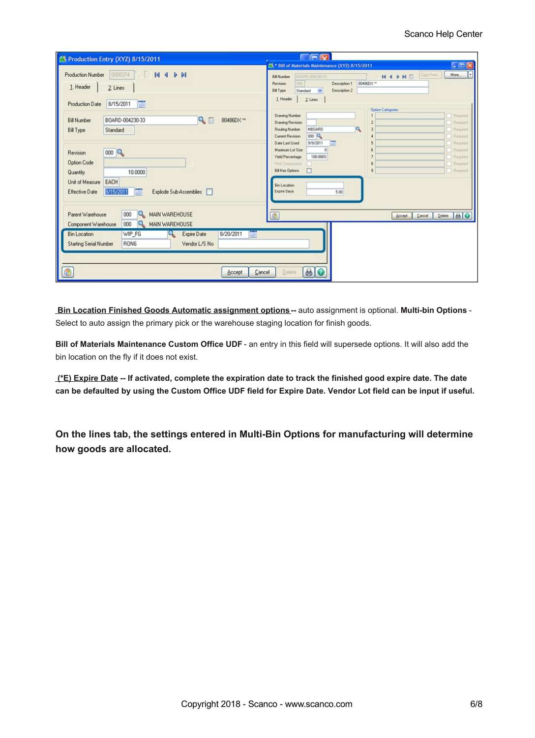| <b>NE Production Entry (XYZ) 8/15/2011</b>                                                                                                                    | Oris                                                                                                                                                                                                                                                                            |
|---------------------------------------------------------------------------------------------------------------------------------------------------------------|---------------------------------------------------------------------------------------------------------------------------------------------------------------------------------------------------------------------------------------------------------------------------------|
| <b>N 4 P PI</b><br>0000374<br><b>Production Number</b><br>$\left( \frac{1}{2} + \frac{1}{2} \right)$<br>1. Header<br>2. Lines<br>8/15/2011<br>Production Date | $\Box$ ox<br>65 * Bill of Materials Maintenance (XYZ) 8/15/2011<br>Ы<br>Copy From.<br>More<br>HIPH<br>BOARD-004230-33<br><b>Bill Number</b><br>Description 1<br>80486DX **<br>Revision<br>000<br>Bill Type<br>Description 2<br>Standard<br>$\checkmark$<br>1. Header<br>2 Lines |
| $\mathbb{Q} \square$<br>BOARD-004230-33<br>80486DX **<br><b>Bill Number</b><br><b>Bill Type</b><br>Standard                                                   | <b>Option Categories</b><br>Required<br><b>Drawing Number</b><br>Required<br><b>Drawing Revision</b><br><b>MBOARD</b><br>Q<br>Routing Number<br>Required<br>000Q<br>Current Revision<br>Required<br>Date Last Used<br>9/9/2011<br>Required                                      |
| $000\,R$<br>Revision<br>Option Code<br>10.0000<br>Quantity<br>EACH<br>Unit of Measure<br>8/15/2011<br>Explode Sub-Assemblies  <br>Effective Date              | Required<br>Maximum Lot Size<br>100.000%<br>Yield Percentage<br>Required<br>Required<br>Print Components<br>8<br>$\mathbf{R}$<br>Required<br><b>Bill Has Options</b><br>п<br><b>Bin Location</b><br>Expire Days<br>5.00                                                         |
| 000<br>Parent Warehouse<br>$\mathbf{Q}$<br>MAIN WAREHOUSE<br>000<br>Component Warehouse<br>Q<br>MAIN WAREHOUSE                                                | $\bigcirc$<br>$\mathbf{D}$ elete $\mathbf{B}$ $\bullet$<br>Cancel<br>Accept                                                                                                                                                                                                     |
| WIP_FG<br>8/20/2011<br><b>Bin Location</b><br>Expire Date<br><b>Starting Serial Number</b><br>RON6<br>Vendor L/S No<br>Cancel<br>Accept                       | $\theta$<br>Delete                                                                                                                                                                                                                                                              |

**Bin Location Finished Goods Automatic assignment options--** auto assignment is optional. **Multi-bin Options** - Select to auto assign the primary pick or the warehouse staging location for finish goods.

**Bill of Materials Maintenance Custom Office UDF** - an entry in this field will supersede options. It will also add the bin location on the fly if it does not exist.

(\*E) Expire Date -- If activated, complete the expiration date to track the finished good expire date. The date can be defaulted by using the Custom Office UDF field for Expire Date. Vendor Lot field can be input if useful.

**On the lines tab, the settings entered in Multi-Bin Options for manufacturing will determine how goods are allocated.**